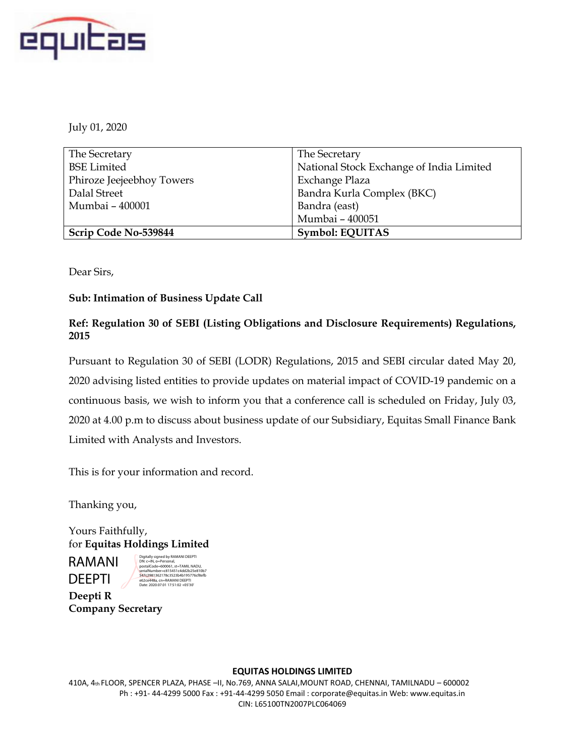

July 01, 2020

| The Secretary             | The Secretary                            |
|---------------------------|------------------------------------------|
| <b>BSE</b> Limited        | National Stock Exchange of India Limited |
| Phiroze Jeejeebhoy Towers | Exchange Plaza                           |
| Dalal Street              | Bandra Kurla Complex (BKC)               |
| Mumbai - 400001           | Bandra (east)                            |
|                           | Mumbai - 400051                          |
| Scrip Code No-539844      | Symbol: EQUITAS                          |

Dear Sirs,

## **Sub: Intimation of Business Update Call**

## **Ref: Regulation 30 of SEBI (Listing Obligations and Disclosure Requirements) Regulations, 2015**

Pursuant to Regulation 30 of SEBI (LODR) Regulations, 2015 and SEBI circular dated May 20, 2020 advising listed entities to provide updates on material impact of COVID-19 pandemic on a continuous basis, we wish to inform you that a conference call is scheduled on Friday, July 03, 2020 at 4.00 p.m to discuss about business update of our Subsidiary, Equitas Small Finance Bank Limited with Analysts and Investors.

This is for your information and record.

Thanking you,

Yours Faithfully, for **Equitas Holdings Limited**

RAMANI DEEPTI



**Deepti R Company Secretary**

## **EQUITAS HOLDINGS LIMITED**

410A, 4th FLOOR, SPENCER PLAZA, PHASE –II, No.769, ANNA SALAI,MOUNT ROAD, CHENNAI, TAMILNADU – 600002 Ph : +91- 44-4299 5000 Fax : +91-44-4299 5050 Email : corporate@equitas.in Web: www.equitas.in CIN: L65100TN2007PLC064069